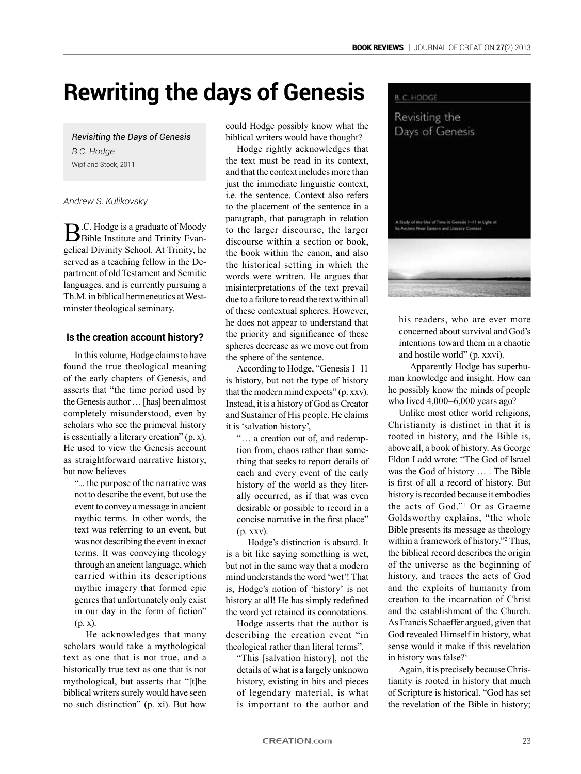# **Rewriting the days of Genesis**

*Revisiting the Days of Genesis B.C. Hodge* Wipf and Stock, 2011

*Andrew S. Kulikovsky*

**B.**C. Hodge is a graduate of Moody Bible Institute and Trinity Evangelical Divinity School. At Trinity, he served as a teaching fellow in the Department of old Testament and Semitic languages, and is currently pursuing a Th.M. in biblical hermeneutics at Westminster theological seminary.

## **Is the creation account history?**

In this volume, Hodge claims to have found the true theological meaning of the early chapters of Genesis, and asserts that "the time period used by the Genesis author … [has] been almost completely misunderstood, even by scholars who see the primeval history is essentially a literary creation" (p. x). He used to view the Genesis account as straightforward narrative history, but now believes

"... the purpose of the narrative was not to describe the event, but use the event to convey a message in ancient mythic terms. In other words, the text was referring to an event, but was not describing the event in exact terms. It was conveying theology through an ancient language, which carried within its descriptions mythic imagery that formed epic genres that unfortunately only exist in our day in the form of fiction" (p. x).

He acknowledges that many scholars would take a mythological text as one that is not true, and a historically true text as one that is not mythological, but asserts that "[t]he biblical writers surely would have seen no such distinction" (p. xi). But how

could Hodge possibly know what the biblical writers would have thought?

Hodge rightly acknowledges that the text must be read in its context, and that the context includes more than just the immediate linguistic context, i.e. the sentence. Context also refers to the placement of the sentence in a paragraph, that paragraph in relation to the larger discourse, the larger discourse within a section or book, the book within the canon, and also the historical setting in which the words were written. He argues that misinterpretations of the text prevail due to a failure to read the text within all of these contextual spheres. However, he does not appear to understand that the priority and significance of these spheres decrease as we move out from the sphere of the sentence.

According to Hodge, "Genesis 1–11 is history, but not the type of history that the modern mind expects" (p. xxv). Instead, it is a history of God as Creator and Sustainer of His people. He claims it is 'salvation history',

"… a creation out of, and redemption from, chaos rather than something that seeks to report details of each and every event of the early history of the world as they literally occurred, as if that was even desirable or possible to record in a concise narrative in the first place" (p. xxv).

Hodge's distinction is absurd. It is a bit like saying something is wet, but not in the same way that a modern mind understands the word 'wet'! That is, Hodge's notion of 'history' is not history at all! He has simply redefined the word yet retained its connotations.

Hodge asserts that the author is describing the creation event "in theological rather than literal terms".

"This [salvation history], not the details of what is a largely unknown history, existing in bits and pieces of legendary material, is what is important to the author and



his readers, who are ever more concerned about survival and God's intentions toward them in a chaotic and hostile world" (p. xxvi).

Apparently Hodge has superhuman knowledge and insight. How can he possibly know the minds of people who lived 4,000–6,000 years ago?

Unlike most other world religions, Christianity is distinct in that it is rooted in history, and the Bible is, above all, a book of history. As George Eldon Ladd wrote: "The God of Israel was the God of history … . The Bible is first of all a record of history. But history is recorded because it embodies the acts of God."1 Or as Graeme Goldsworthy explains, "the whole Bible presents its message as theology within a framework of history."2 Thus, the biblical record describes the origin of the universe as the beginning of history, and traces the acts of God and the exploits of humanity from creation to the incarnation of Christ and the establishment of the Church. As Francis Schaeffer argued, given that God revealed Himself in history, what sense would it make if this revelation in history was false?<sup>3</sup>

Again, it is precisely because Christianity is rooted in history that much of Scripture is historical. "God has set the revelation of the Bible in history;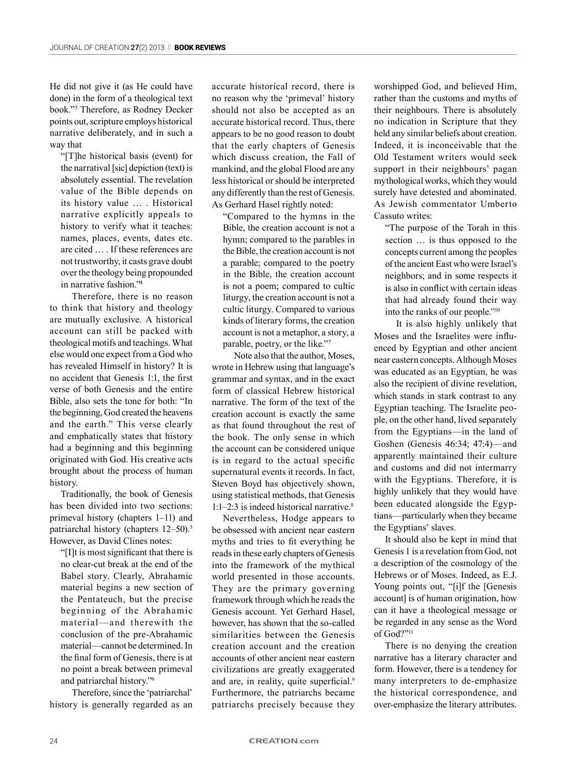He did not give it (as He could have done) in the form of a theological text book."3 Therefore, as Rodney Decker points out, scripture employs historical narrative deliberately, and in such a way that

"[T]he historical basis (event) for the narratival [sic] depiction (text) is absolutely essential. The revelation value of the Bible depends on its history value … . Historical narrative explicitly appeals to history to verify what it teaches: names, places, events, dates etc. are cited … . If these references are not trustworthy, it casts grave doubt over the theology being propounded in narrative fashion."4

Therefore, there is no reason to think that history and theology are mutually exclusive. A historical account can still be packed with theological motifs and teachings. What else would one expect from a God who has revealed Himself in history? It is no accident that Genesis 1:1, the first verse of both Genesis and the entire Bible, also sets the tone for both: "In the beginning, God created the heavens and the earth." This verse clearly and emphatically states that history had a beginning and this beginning originated with God. His creative acts brought about the process of human history.

Traditionally, the book of Genesis has been divided into two sections: primeval history (chapters 1–11) and patriarchal history (chapters 12–50).5 However, as David Clines notes:

"[I]t is most significant that there is no clear-cut break at the end of the Babel story. Clearly, Abrahamic material begins a new section of the Pentateuch, but the precise beginning of the Abrahamic material—and therewith the conclusion of the pre-Abrahamic material—cannot be determined. In the final form of Genesis, there is at no point a break between primeval and patriarchal history."6

Therefore, since the 'patriarchal' history is generally regarded as an

accurate historical record, there is no reason why the 'primeval' history should not also be accepted as an accurate historical record. Thus, there appears to be no good reason to doubt that the early chapters of Genesis which discuss creation, the Fall of mankind, and the global Flood are any less historical or should be interpreted any differently than the rest of Genesis. As Gerhard Hasel rightly noted:

"Compared to the hymns in the Bible, the creation account is not a hymn; compared to the parables in the Bible, the creation account is not a parable; compared to the poetry in the Bible, the creation account is not a poem; compared to cultic liturgy, the creation account is not a cultic liturgy. Compared to various kinds of literary forms, the creation account is not a metaphor, a story, a parable, poetry, or the like."7

Note also that the author, Moses, wrote in Hebrew using that language's grammar and syntax, and in the exact form of classical Hebrew historical narrative. The form of the text of the creation account is exactly the same as that found throughout the rest of the book. The only sense in which the account can be considered unique is in regard to the actual specific supernatural events it records. In fact, Steven Boyd has objectively shown, using statistical methods, that Genesis 1:1–2:3 is indeed historical narrative.8

Nevertheless, Hodge appears to be obsessed with ancient near eastern myths and tries to fit everything he reads in these early chapters of Genesis into the framework of the mythical world presented in those accounts. They are the primary governing framework through which he reads the Genesis account. Yet Gerhard Hasel, however, has shown that the so-called similarities between the Genesis creation account and the creation accounts of other ancient near eastern civilizations are greatly exaggerated and are, in reality, quite superficial.<sup>9</sup> Furthermore, the patriarchs became patriarchs precisely because they worshipped God, and believed Him, rather than the customs and myths of their neighbours. There is absolutely no indication in Scripture that they held any similar beliefs about creation. Indeed, it is inconceivable that the Old Testament writers would seek support in their neighbours' pagan mythological works, which they would surely have detested and abominated. As Jewish commentator Umberto Cassuto writes:

"The purpose of the Torah in this section … is thus opposed to the concepts current among the peoples of the ancient East who were Israel's neighbors; and in some respects it is also in conflict with certain ideas that had already found their way into the ranks of our people."10

It is also highly unlikely that Moses and the Israelites were influenced by Egyptian and other ancient near eastern concepts. Although Moses was educated as an Egyptian, he was also the recipient of divine revelation, which stands in stark contrast to any Egyptian teaching. The Israelite people, on the other hand, lived separately from the Egyptians—in the land of Goshen (Genesis 46:34; 47:4)—and apparently maintained their culture and customs and did not intermarry with the Egyptians. Therefore, it is highly unlikely that they would have been educated alongside the Egyptians—particularly when they became the Egyptians' slaves.

It should also be kept in mind that Genesis 1 is a revelation from God, not a description of the cosmology of the Hebrews or of Moses. Indeed, as E.J. Young points out, "[i]f the [Genesis account] is of human origination, how can it have a theological message or be regarded in any sense as the Word of God?"<sup>11</sup>

There is no denying the creation narrative has a literary character and form. However, there is a tendency for many interpreters to de-emphasize the historical correspondence, and over-emphasize the literary attributes.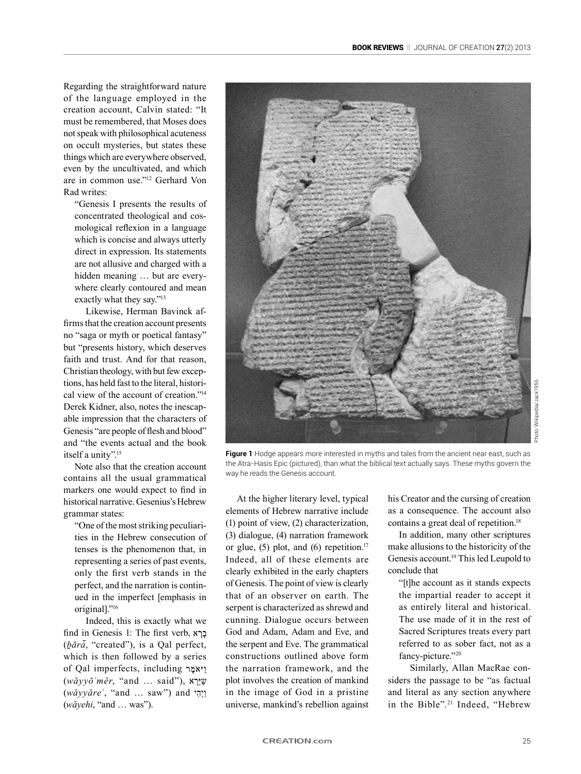Regarding the straightforward nature of the language employed in the creation account, Calvin stated: "It must be remembered, that Moses does not speak with philosophical acuteness on occult mysteries, but states these things which are everywhere observed, even by the uncultivated, and which are in common use."12 Gerhard Von Rad writes:

"Genesis I presents the results of concentrated theological and cosmological reflexion in a language which is concise and always utterly direct in expression. Its statements are not allusive and charged with a hidden meaning ... but are everywhere clearly contoured and mean exactly what they say."13

Likewise, Herman Bavinck affirms that the creation account presents no "saga or myth or poetical fantasy" but "presents history, which deserves faith and trust. And for that reason, Christian theology, with but few exceptions, has held fast to the literal, historical view of the account of creation."14 Derek Kidner, also, notes the inescapable impression that the characters of Genesis "are people of flesh and blood" and "the events actual and the book itself a unity".<sup>15</sup>

Note also that the creation account contains all the usual grammatical markers one would expect to find in historical narrative. Gesenius's Hebrew grammar states:

"One of the most striking peculiarities in the Hebrew consecution of tenses is the phenomenon that, in representing a series of past events, only the first verb stands in the perfect, and the narration is continued in the imperfect [emphasis in original]."16

Indeed, this is exactly what we find in Genesis 1: The first verb, (*ḇārā*, "created"), is a Qal perfect, which is then followed by a series of Qal imperfects, including (*wăyyōʾmĕr*, "and … said"), (*wăyyăreʾ*, "and … saw") and (*wăyehi*, "and … was").



**Figure 1** Hodge appears more interested in myths and tales from the ancient near east, such as the Atra-Hasis Epic (pictured), than what the biblical text actually says. These myths govern the way he reads the Genesis account.

At the higher literary level, typical elements of Hebrew narrative include (1) point of view, (2) characterization, (3) dialogue, (4) narration framework or glue,  $(5)$  plot, and  $(6)$  repetition.<sup>17</sup> Indeed, all of these elements are clearly exhibited in the early chapters of Genesis. The point of view is clearly that of an observer on earth. The serpent is characterized as shrewd and cunning. Dialogue occurs between God and Adam, Adam and Eve, and the serpent and Eve. The grammatical constructions outlined above form the narration framework, and the plot involves the creation of mankind in the image of God in a pristine universe, mankind's rebellion against his Creator and the cursing of creation as a consequence. The account also contains a great deal of repetition.18

In addition, many other scriptures make allusions to the historicity of the Genesis account.19 This led Leupold to conclude that

"[t]he account as it stands expects the impartial reader to accept it as entirely literal and historical. The use made of it in the rest of Sacred Scriptures treats every part referred to as sober fact, not as a fancy-picture."20

Similarly, Allan MacRae considers the passage to be "as factual and literal as any section anywhere in the Bible".21 Indeed, "Hebrew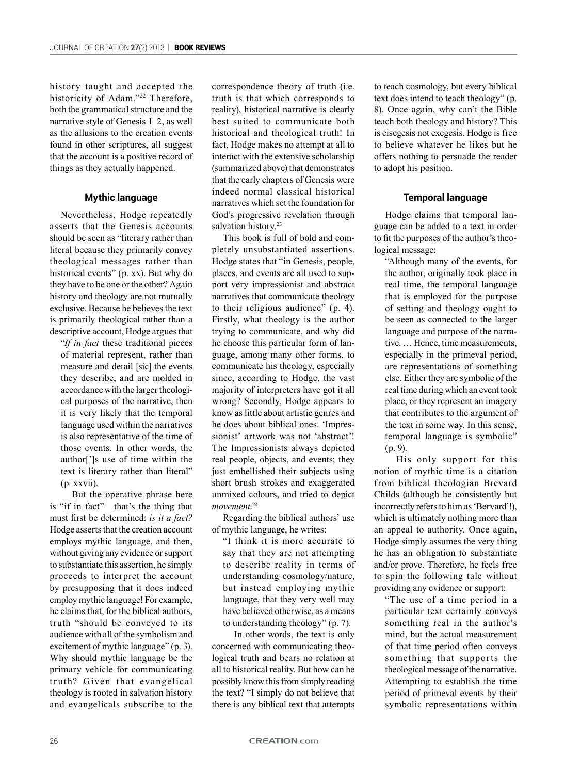history taught and accepted the historicity of Adam."<sup>22</sup> Therefore, both the grammatical structure and the narrative style of Genesis 1–2, as well as the allusions to the creation events found in other scriptures, all suggest that the account is a positive record of things as they actually happened.

## **Mythic language**

Νevertheless, Hodge repeatedly asserts that the Genesis accounts should be seen as "literary rather than literal because they primarily convey theological messages rather than historical events" (p. xx). But why do they have to be one or the other? Αgain history and theology are not mutually exclusive. Because he believes the text is primarily theological rather than a descriptive account, Hodge argues that

"*If in fact* these traditional pieces of material represent, rather than measure and detail [sic] the events they describe, and are molded in accordance with the larger theological purposes of the narrative, then it is very likely that the temporal language used within the narratives is also representative of the time of those events. In other words, the author[']s use of time within the text is literary rather than literal" (p. xxvii).

But the operative phrase here is "if in fact"—that's the thing that must first be determined: *is it a fact?* Hodge asserts that the creation account employs mythic language, and then, without giving any evidence or support to substantiate this assertion, he simply proceeds to interpret the account by presupposing that it does indeed employ mythic language! For example, he claims that, for the biblical authors, truth "should be conveyed to its audience with all of the symbolism and excitement of mythic language" (p. 3). Why should mythic language be the primary vehicle for communicating truth? Given that evangelical theology is rooted in salvation history and evangelicals subscribe to the

correspondence theory of truth (i.e. truth is that which corresponds to reality), historical narrative is clearly best suited to communicate both historical and theological truth! In fact, Hodge makes no attempt at all to interact with the extensive scholarship (summarized above) that demonstrates that the early chapters of Genesis were indeed normal classical historical narratives which set the foundation for God's progressive revelation through salvation history.<sup>23</sup>

This book is full of bold and completely unsubstantiated assertions. Hodge states that "in Genesis, people, places, and events are all used to support very impressionist and abstract narratives that communicate theology to their religious audience" (p. 4). Firstly, what theology is the author trying to communicate, and why did he choose this particular form of language, among many other forms, to communicate his theology, especially since, according to Hodge, the vast majority of interpreters have got it all wrong? Secondly, Hodge appears to know as little about artistic genres and he does about biblical ones. 'Impressionist' artwork was not 'abstract'! The Impressionists always depicted real people, objects, and events; they just embellished their subjects using short brush strokes and exaggerated unmixed colours, and tried to depict *movement*. 24

Regarding the biblical authors' use of mythic language, he writes:

"I think it is more accurate to say that they are not attempting to describe reality in terms of understanding cosmology/nature, but instead employing mythic language, that they very well may have believed otherwise, as a means to understanding theology" (p. 7).

In other words, the text is only concerned with communicating theological truth and bears no relation at all to historical reality. But how can he possibly know this from simply reading the text? "I simply do not believe that there is any biblical text that attempts

to teach cosmology, but every biblical text does intend to teach theology" (p. 8). Once again, why can't the Bible teach both theology and history? This is eisegesis not exegesis. Hodge is free to believe whatever he likes but he offers nothing to persuade the reader to adopt his position.

## **Temporal language**

Hodge claims that temporal language can be added to a text in order to fit the purposes of the author's theological message:

"Although many of the events, for the author, originally took place in real time, the temporal language that is employed for the purpose of setting and theology ought to be seen as connected to the larger language and purpose of the narrative. … Hence, time measurements, especially in the primeval period, are representations of something else. Either they are symbolic of the real time during which an event took place, or they represent an imagery that contributes to the argument of the text in some way. In this sense, temporal language is symbolic" (p. 9).

His only support for this notion of mythic time is a citation from biblical theologian Brevard Childs (although he consistently but incorrectly refers to him as 'Bervard'!), which is ultimately nothing more than an appeal to authority. Once again, Hodge simply assumes the very thing he has an obligation to substantiate and/or prove. Therefore, he feels free to spin the following tale without providing any evidence or support:

"The use of a time period in a particular text certainly conveys something real in the author's mind, but the actual measurement of that time period often conveys something that supports the theological message of the narrative. Attempting to establish the time period of primeval events by their symbolic representations within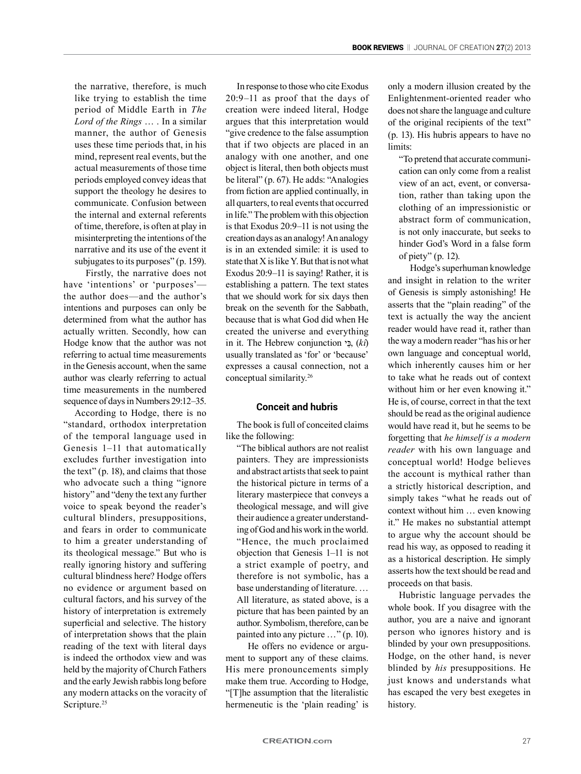the narrative, therefore, is much like trying to establish the time period of Middle Earth in *The Lord of the Rings* … . In a similar manner, the author of Genesis uses these time periods that, in his mind, represent real events, but the actual measurements of those time periods employed convey ideas that support the theology he desires to communicate. Confusion between the internal and external referents of time, therefore, is often at play in misinterpreting the intentions of the narrative and its use of the event it subjugates to its purposes" (p. 159).

Firstly, the narrative does not have 'intentions' or 'purposes' the author does—and the author's intentions and purposes can only be determined from what the author has actually written. Secondly, how can Hodge know that the author was not referring to actual time measurements in the Genesis account, when the same author was clearly referring to actual time measurements in the numbered sequence of days in Numbers 29:12–35.

According to Hodge, there is no "standard, orthodox interpretation of the temporal language used in Genesis 1–11 that automatically excludes further investigation into the text" (p. 18), and claims that those who advocate such a thing "ignore history" and "deny the text any further voice to speak beyond the reader's cultural blinders, presuppositions, and fears in order to communicate to him a greater understanding of its theological message." But who is really ignoring history and suffering cultural blindness here? Hodge offers no evidence or argument based on cultural factors, and his survey of the history of interpretation is extremely superficial and selective. The history of interpretation shows that the plain reading of the text with literal days is indeed the orthodox view and was held by the majority of Church Fathers and the early Jewish rabbis long before any modern attacks on the voracity of Scripture.<sup>25</sup>

In response to those who cite Exodus 20:9–11 as proof that the days of creation were indeed literal, Hodge argues that this interpretation would "give credence to the false assumption that if two objects are placed in an analogy with one another, and one object is literal, then both objects must be literal" (p. 67). He adds: "Analogies from fiction are applied continually, in all quarters, to real events that occurred in life." The problem with this objection is that Exodus 20:9–11 is not using the creation days as an analogy! An analogy is in an extended simile: it is used to state that X is like Y. But that is not what Exodus 20:9–11 is saying! Rather, it is establishing a pattern. The text states that we should work for six days then break on the seventh for the Sabbath, because that is what God did when He created the universe and everything in it. The Hebrew conjunction , (*kî*) usually translated as 'for' or 'because' expresses a causal connection, not a conceptual similarity.26

## **Conceit and hubris**

The book is full of conceited claims like the following:

"The biblical authors are not realist painters. They are impressionists and abstract artists that seek to paint the historical picture in terms of a literary masterpiece that conveys a theological message, and will give their audience a greater understanding of God and his work in the world. "Hence, the much proclaimed objection that Genesis 1–11 is not a strict example of poetry, and therefore is not symbolic, has a base understanding of literature. … All literature, as stated above, is a picture that has been painted by an author. Symbolism, therefore, can be painted into any picture …" (p. 10).

He offers no evidence or argument to support any of these claims. His mere pronouncements simply make them true. According to Hodge, "[T]he assumption that the literalistic hermeneutic is the 'plain reading' is only a modern illusion created by the Enlightenment-oriented reader who does not share the language and culture of the original recipients of the text" (p. 13). His hubris appears to have no limits:

"To pretend that accurate communication can only come from a realist view of an act, event, or conversation, rather than taking upon the clothing of an impressionistic or abstract form of communication, is not only inaccurate, but seeks to hinder God's Word in a false form of piety" (p. 12).

Hodge's superhuman knowledge and insight in relation to the writer of Genesis is simply astonishing! He asserts that the "plain reading" of the text is actually the way the ancient reader would have read it, rather than the way a modern reader "has his or her own language and conceptual world, which inherently causes him or her to take what he reads out of context without him or her even knowing it." He is, of course, correct in that the text should be read as the original audience would have read it, but he seems to be forgetting that *he himself is a modern reader* with his own language and conceptual world! Hodge believes the account is mythical rather than a strictly historical description, and simply takes "what he reads out of context without him … even knowing it." He makes no substantial attempt to argue why the account should be read his way, as opposed to reading it as a historical description. He simply asserts how the text should be read and proceeds on that basis.

Hubristic language pervades the whole book. If you disagree with the author, you are a naive and ignorant person who ignores history and is blinded by your own presuppositions. Hodge, on the other hand, is never blinded by *his* presuppositions. He just knows and understands what has escaped the very best exegetes in history.